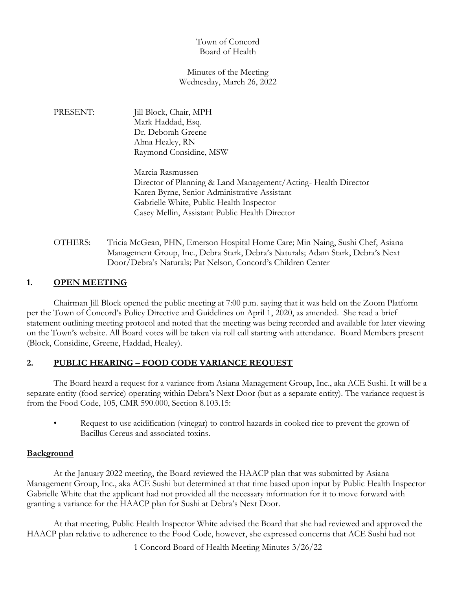# Town of Concord Board of Health

### Minutes of the Meeting Wednesday, March 26, 2022

PRESENT: Jill Block, Chair, MPH Mark Haddad, Esq. Dr. Deborah Greene Alma Healey, RN Raymond Considine, MSW

> Marcia Rasmussen Director of Planning & Land Management/Acting- Health Director Karen Byrne, Senior Administrative Assistant Gabrielle White, Public Health Inspector Casey Mellin, Assistant Public Health Director

OTHERS: Tricia McGean, PHN, Emerson Hospital Home Care; Min Naing, Sushi Chef, Asiana Management Group, Inc., Debra Stark, Debra's Naturals; Adam Stark, Debra's Next Door/Debra's Naturals; Pat Nelson, Concord's Children Center

# **1. OPEN MEETING**

Chairman Jill Block opened the public meeting at 7:00 p.m. saying that it was held on the Zoom Platform per the Town of Concord's Policy Directive and Guidelines on April 1, 2020, as amended. She read a brief statement outlining meeting protocol and noted that the meeting was being recorded and available for later viewing on the Town's website. All Board votes will be taken via roll call starting with attendance. Board Members present (Block, Considine, Greene, Haddad, Healey).

# **2. PUBLIC HEARING – FOOD CODE VARIANCE REQUEST**

The Board heard a request for a variance from Asiana Management Group, Inc., aka ACE Sushi. It will be a separate entity (food service) operating within Debra's Next Door (but as a separate entity). The variance request is from the Food Code, 105, CMR 590.000, Section 8.103.15:

• Request to use acidification (vinegar) to control hazards in cooked rice to prevent the grown of Bacillus Cereus and associated toxins.

# **Background**

At the January 2022 meeting, the Board reviewed the HAACP plan that was submitted by Asiana Management Group, Inc., aka ACE Sushi but determined at that time based upon input by Public Health Inspector Gabrielle White that the applicant had not provided all the necessary information for it to move forward with granting a variance for the HAACP plan for Sushi at Debra's Next Door.

At that meeting, Public Health Inspector White advised the Board that she had reviewed and approved the HAACP plan relative to adherence to the Food Code, however, she expressed concerns that ACE Sushi had not

1 Concord Board of Health Meeting Minutes 3/26/22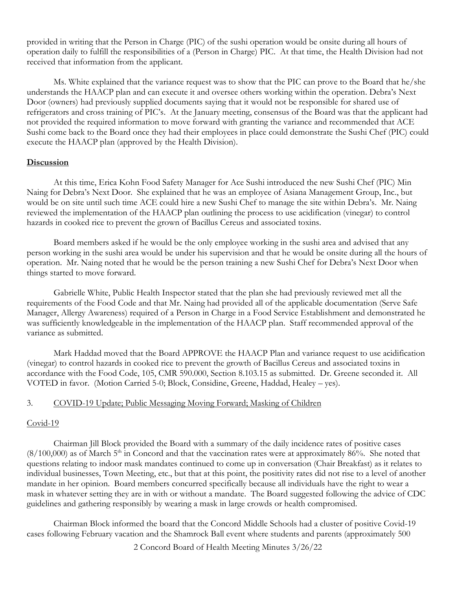provided in writing that the Person in Charge (PIC) of the sushi operation would be onsite during all hours of operation daily to fulfill the responsibilities of a (Person in Charge) PIC. At that time, the Health Division had not received that information from the applicant.

Ms. White explained that the variance request was to show that the PIC can prove to the Board that he/she understands the HAACP plan and can execute it and oversee others working within the operation. Debra's Next Door (owners) had previously supplied documents saying that it would not be responsible for shared use of refrigerators and cross training of PIC's. At the January meeting, consensus of the Board was that the applicant had not provided the required information to move forward with granting the variance and recommended that ACE Sushi come back to the Board once they had their employees in place could demonstrate the Sushi Chef (PIC) could execute the HAACP plan (approved by the Health Division).

### **Discussion**

At this time, Erica Kohn Food Safety Manager for Ace Sushi introduced the new Sushi Chef (PIC) Min Naing for Debra's Next Door. She explained that he was an employee of Asiana Management Group, Inc., but would be on site until such time ACE could hire a new Sushi Chef to manage the site within Debra's. Mr. Naing reviewed the implementation of the HAACP plan outlining the process to use acidification (vinegar) to control hazards in cooked rice to prevent the grown of Bacillus Cereus and associated toxins.

Board members asked if he would be the only employee working in the sushi area and advised that any person working in the sushi area would be under his supervision and that he would be onsite during all the hours of operation. Mr. Naing noted that he would be the person training a new Sushi Chef for Debra's Next Door when things started to move forward.

Gabrielle White, Public Health Inspector stated that the plan she had previously reviewed met all the requirements of the Food Code and that Mr. Naing had provided all of the applicable documentation (Serve Safe Manager, Allergy Awareness) required of a Person in Charge in a Food Service Establishment and demonstrated he was sufficiently knowledgeable in the implementation of the HAACP plan. Staff recommended approval of the variance as submitted.

Mark Haddad moved that the Board APPROVE the HAACP Plan and variance request to use acidification (vinegar) to control hazards in cooked rice to prevent the growth of Bacillus Cereus and associated toxins in accordance with the Food Code, 105, CMR 590.000, Section 8.103.15 as submitted. Dr. Greene seconded it. All VOTED in favor. (Motion Carried 5-0; Block, Considine, Greene, Haddad, Healey – yes).

# 3. COVID-19 Update; Public Messaging Moving Forward; Masking of Children

#### Covid-19

Chairman Jill Block provided the Board with a summary of the daily incidence rates of positive cases  $(8/100,000)$  as of March 5<sup>th</sup> in Concord and that the vaccination rates were at approximately 86%. She noted that questions relating to indoor mask mandates continued to come up in conversation (Chair Breakfast) as it relates to individual businesses, Town Meeting, etc., but that at this point, the positivity rates did not rise to a level of another mandate in her opinion. Board members concurred specifically because all individuals have the right to wear a mask in whatever setting they are in with or without a mandate. The Board suggested following the advice of CDC guidelines and gathering responsibly by wearing a mask in large crowds or health compromised.

Chairman Block informed the board that the Concord Middle Schools had a cluster of positive Covid-19 cases following February vacation and the Shamrock Ball event where students and parents (approximately 500

2 Concord Board of Health Meeting Minutes 3/26/22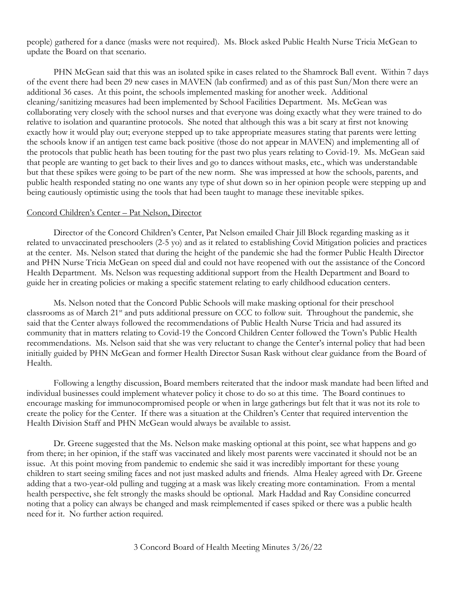people) gathered for a dance (masks were not required). Ms. Block asked Public Health Nurse Tricia McGean to update the Board on that scenario.

PHN McGean said that this was an isolated spike in cases related to the Shamrock Ball event. Within 7 days of the event there had been 29 new cases in MAVEN (lab confirmed) and as of this past Sun/Mon there were an additional 36 cases. At this point, the schools implemented masking for another week. Additional cleaning/sanitizing measures had been implemented by School Facilities Department. Ms. McGean was collaborating very closely with the school nurses and that everyone was doing exactly what they were trained to do relative to isolation and quarantine protocols. She noted that although this was a bit scary at first not knowing exactly how it would play out; everyone stepped up to take appropriate measures stating that parents were letting the schools know if an antigen test came back positive (those do not appear in MAVEN) and implementing all of the protocols that public heath has been touting for the past two plus years relating to Covid-19. Ms. McGean said that people are wanting to get back to their lives and go to dances without masks, etc., which was understandable but that these spikes were going to be part of the new norm. She was impressed at how the schools, parents, and public health responded stating no one wants any type of shut down so in her opinion people were stepping up and being cautiously optimistic using the tools that had been taught to manage these inevitable spikes.

#### Concord Children's Center – Pat Nelson, Director

Director of the Concord Children's Center, Pat Nelson emailed Chair Jill Block regarding masking as it related to unvaccinated preschoolers (2-5 yo) and as it related to establishing Covid Mitigation policies and practices at the center. Ms. Nelson stated that during the height of the pandemic she had the former Public Health Director and PHN Nurse Tricia McGean on speed dial and could not have reopened with out the assistance of the Concord Health Department. Ms. Nelson was requesting additional support from the Health Department and Board to guide her in creating policies or making a specific statement relating to early childhood education centers.

Ms. Nelson noted that the Concord Public Schools will make masking optional for their preschool classrooms as of March 21<sup>st</sup> and puts additional pressure on CCC to follow suit. Throughout the pandemic, she said that the Center always followed the recommendations of Public Health Nurse Tricia and had assured its community that in matters relating to Covid-19 the Concord Children Center followed the Town's Public Health recommendations. Ms. Nelson said that she was very reluctant to change the Center's internal policy that had been initially guided by PHN McGean and former Health Director Susan Rask without clear guidance from the Board of Health.

Following a lengthy discussion, Board members reiterated that the indoor mask mandate had been lifted and individual businesses could implement whatever policy it chose to do so at this time. The Board continues to encourage masking for immunocompromised people or when in large gatherings but felt that it was not its role to create the policy for the Center. If there was a situation at the Children's Center that required intervention the Health Division Staff and PHN McGean would always be available to assist.

Dr. Greene suggested that the Ms. Nelson make masking optional at this point, see what happens and go from there; in her opinion, if the staff was vaccinated and likely most parents were vaccinated it should not be an issue. At this point moving from pandemic to endemic she said it was incredibly important for these young children to start seeing smiling faces and not just masked adults and friends. Alma Healey agreed with Dr. Greene adding that a two-year-old pulling and tugging at a mask was likely creating more contamination. From a mental health perspective, she felt strongly the masks should be optional. Mark Haddad and Ray Considine concurred noting that a policy can always be changed and mask reimplemented if cases spiked or there was a public health need for it. No further action required.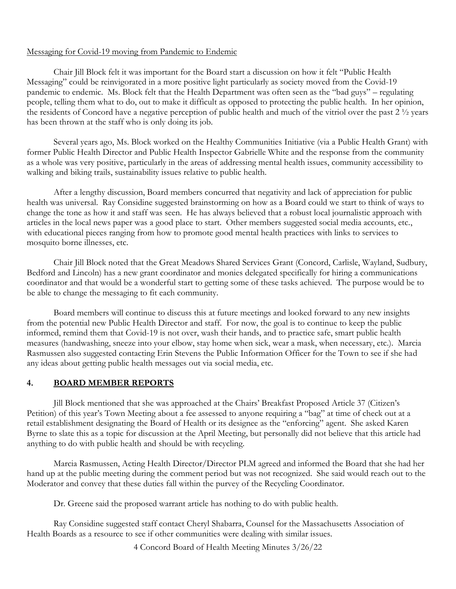### Messaging for Covid-19 moving from Pandemic to Endemic

Chair Jill Block felt it was important for the Board start a discussion on how it felt "Public Health Messaging" could be reinvigorated in a more positive light particularly as society moved from the Covid-19 pandemic to endemic. Ms. Block felt that the Health Department was often seen as the "bad guys" – regulating people, telling them what to do, out to make it difficult as opposed to protecting the public health. In her opinion, the residents of Concord have a negative perception of public health and much of the vitriol over the past 2 ½ years has been thrown at the staff who is only doing its job.

Several years ago, Ms. Block worked on the Healthy Communities Initiative (via a Public Health Grant) with former Public Health Director and Public Health Inspector Gabrielle White and the response from the community as a whole was very positive, particularly in the areas of addressing mental health issues, community accessibility to walking and biking trails, sustainability issues relative to public health.

After a lengthy discussion, Board members concurred that negativity and lack of appreciation for public health was universal. Ray Considine suggested brainstorming on how as a Board could we start to think of ways to change the tone as how it and staff was seen. He has always believed that a robust local journalistic approach with articles in the local news paper was a good place to start. Other members suggested social media accounts, etc., with educational pieces ranging from how to promote good mental health practices with links to services to mosquito borne illnesses, etc.

Chair Jill Block noted that the Great Meadows Shared Services Grant (Concord, Carlisle, Wayland, Sudbury, Bedford and Lincoln) has a new grant coordinator and monies delegated specifically for hiring a communications coordinator and that would be a wonderful start to getting some of these tasks achieved. The purpose would be to be able to change the messaging to fit each community.

Board members will continue to discuss this at future meetings and looked forward to any new insights from the potential new Public Health Director and staff. For now, the goal is to continue to keep the public informed, remind them that Covid-19 is not over, wash their hands, and to practice safe, smart public health measures (handwashing, sneeze into your elbow, stay home when sick, wear a mask, when necessary, etc.). Marcia Rasmussen also suggested contacting Erin Stevens the Public Information Officer for the Town to see if she had any ideas about getting public health messages out via social media, etc.

# **4. BOARD MEMBER REPORTS**

Jill Block mentioned that she was approached at the Chairs' Breakfast Proposed Article 37 (Citizen's Petition) of this year's Town Meeting about a fee assessed to anyone requiring a "bag" at time of check out at a retail establishment designating the Board of Health or its designee as the "enforcing" agent. She asked Karen Byrne to slate this as a topic for discussion at the April Meeting, but personally did not believe that this article had anything to do with public health and should be with recycling.

Marcia Rasmussen, Acting Health Director/Director PLM agreed and informed the Board that she had her hand up at the public meeting during the comment period but was not recognized. She said would reach out to the Moderator and convey that these duties fall within the purvey of the Recycling Coordinator.

Dr. Greene said the proposed warrant article has nothing to do with public health.

Ray Considine suggested staff contact Cheryl Shabarra, Counsel for the Massachusetts Association of Health Boards as a resource to see if other communities were dealing with similar issues.

4 Concord Board of Health Meeting Minutes 3/26/22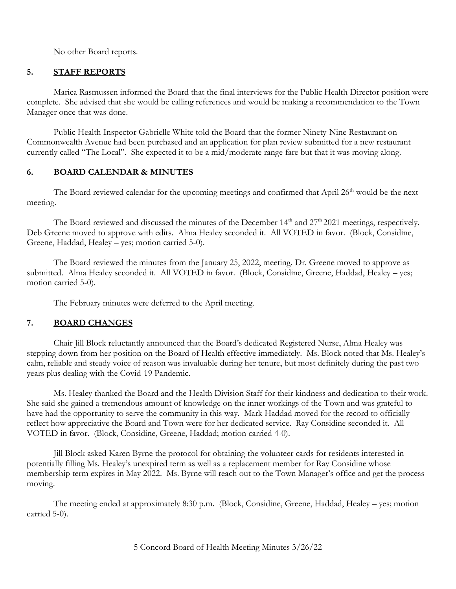No other Board reports.

# **5. STAFF REPORTS**

Marica Rasmussen informed the Board that the final interviews for the Public Health Director position were complete. She advised that she would be calling references and would be making a recommendation to the Town Manager once that was done.

Public Health Inspector Gabrielle White told the Board that the former Ninety-Nine Restaurant on Commonwealth Avenue had been purchased and an application for plan review submitted for a new restaurant currently called "The Local". She expected it to be a mid/moderate range fare but that it was moving along.

### **6. BOARD CALENDAR & MINUTES**

The Board reviewed calendar for the upcoming meetings and confirmed that April  $26<sup>th</sup>$  would be the next meeting.

The Board reviewed and discussed the minutes of the December 14<sup>th</sup> and 27<sup>th</sup> 2021 meetings, respectively. Deb Greene moved to approve with edits. Alma Healey seconded it. All VOTED in favor. (Block, Considine, Greene, Haddad, Healey – yes; motion carried 5-0).

The Board reviewed the minutes from the January 25, 2022, meeting. Dr. Greene moved to approve as submitted. Alma Healey seconded it. All VOTED in favor. (Block, Considine, Greene, Haddad, Healey – yes; motion carried 5-0).

The February minutes were deferred to the April meeting.

# **7. BOARD CHANGES**

Chair Jill Block reluctantly announced that the Board's dedicated Registered Nurse, Alma Healey was stepping down from her position on the Board of Health effective immediately. Ms. Block noted that Ms. Healey's calm, reliable and steady voice of reason was invaluable during her tenure, but most definitely during the past two years plus dealing with the Covid-19 Pandemic.

Ms. Healey thanked the Board and the Health Division Staff for their kindness and dedication to their work. She said she gained a tremendous amount of knowledge on the inner workings of the Town and was grateful to have had the opportunity to serve the community in this way. Mark Haddad moved for the record to officially reflect how appreciative the Board and Town were for her dedicated service. Ray Considine seconded it. All VOTED in favor. (Block, Considine, Greene, Haddad; motion carried 4-0).

Jill Block asked Karen Byrne the protocol for obtaining the volunteer cards for residents interested in potentially filling Ms. Healey's unexpired term as well as a replacement member for Ray Considine whose membership term expires in May 2022. Ms. Byrne will reach out to the Town Manager's office and get the process moving.

The meeting ended at approximately 8:30 p.m. (Block, Considine, Greene, Haddad, Healey – yes; motion carried 5-0).